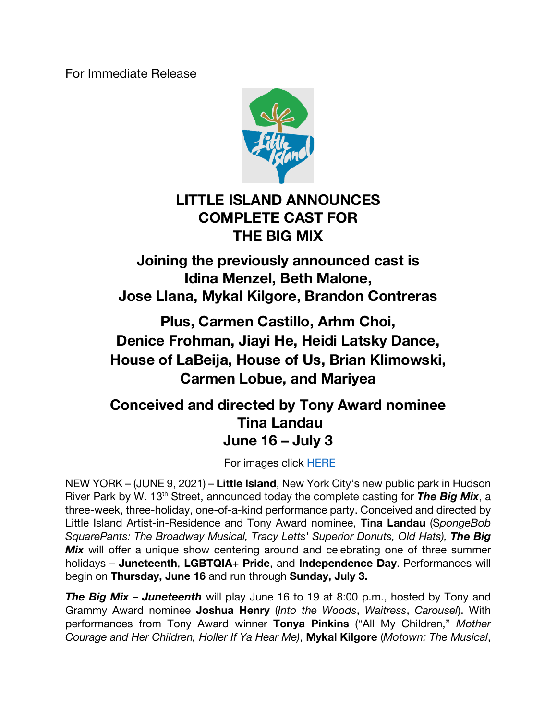For Immediate Release



# **LITTLE ISLAND ANNOUNCES COMPLETE CAST FOR THE BIG MIX**

**Joining the previously announced cast is Idina Menzel, Beth Malone, Jose Llana, Mykal Kilgore, Brandon Contreras**

**Plus, Carmen Castillo, Arhm Choi, Denice Frohman, Jiayi He, Heidi Latsky Dance, House of LaBeija, House of Us, Brian Klimowski, Carmen Lobue, and Mariyea** 

## **Conceived and directed by Tony Award nominee Tina Landau June 16 – July 3**

For images click HERE

NEW YORK – (JUNE 9, 2021) – **Little Island**, New York City's new public park in Hudson River Park by W. 13<sup>th</sup> Street, announced today the complete casting for **The Big Mix**, a three-week, three-holiday, one-of-a-kind performance party. Conceived and directed by Little Island Artist-in-Residence and Tony Award nominee, **Tina Landau** (S*pongeBob SquarePants: The Broadway Musical, Tracy Letts' Superior Donuts, Old Hats), The Big*  **Mix** will offer a unique show centering around and celebrating one of three summer holidays – **Juneteenth**, **LGBTQIA+ Pride**, and **Independence Day**. Performances will begin on **Thursday, June 16** and run through **Sunday, July 3.**

*The Big Mix* – *Juneteenth* will play June 16 to 19 at 8:00 p.m., hosted by Tony and Grammy Award nominee **Joshua Henry** (*Into the Woods*, *Waitress*, *Carousel*). With performances from Tony Award winner **Tonya Pinkins** ("All My Children," *Mother Courage and Her Children, Holler If Ya Hear Me)*, **Mykal Kilgore** (*Motown: The Musical*,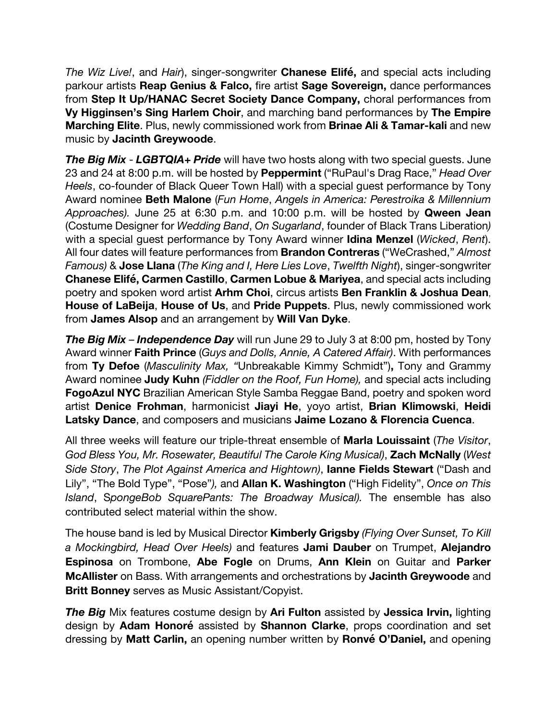*The Wiz Live!*, and *Hair*), singer-songwriter **Chanese Elifé,** and special acts including parkour artists **Reap Genius & Falco,** fire artist **Sage Sovereign,** dance performances from **Step It Up/HANAC Secret Society Dance Company,** choral performances from **Vy Higginsen's Sing Harlem Choir**, and marching band performances by **The Empire Marching Elite**. Plus, newly commissioned work from **Brinae Ali & Tamar-kali** and new music by **Jacinth Greywoode**.

*The Big Mix* - *LGBTQIA+ Pride* will have two hosts along with two special guests. June 23 and 24 at 8:00 p.m. will be hosted by **Peppermint** ("RuPaul's Drag Race," *Head Over Heels*, co-founder of Black Queer Town Hall) with a special guest performance by Tony Award nominee **Beth Malone** (*Fun Home*, *Angels in America: Perestroika & Millennium Approaches).* June 25 at 6:30 p.m. and 10:00 p.m. will be hosted by **Qween Jean**  (Costume Designer for *Wedding Band*, *On Sugarland*, founder of Black Trans Liberation*)*  with a special guest performance by Tony Award winner **Idina Menzel** (*Wicked*, *Rent*). All four dates will feature performances from **Brandon Contreras** ("WeCrashed," *Almost Famous)* & **Jose Llana** (*The King and I, Here Lies Love*, *Twelfth Night*), singer-songwriter **Chanese Elifé, Carmen Castillo**, **Carmen Lobue & Mariyea**, and special acts including poetry and spoken word artist **Arhm Choi**, circus artists **Ben Franklin & Joshua Dean**, **House of LaBeija**, **House of Us**, and **Pride Puppets**. Plus, newly commissioned work from **James Alsop** and an arrangement by **Will Van Dyke**.

**The Big Mix – Independence Day** will run June 29 to July 3 at 8:00 pm, hosted by Tony Award winner **Faith Prince** (*Guys and Dolls, Annie, A Catered Affair)*. With performances from **Ty Defoe** (*Masculinity Max, "*Unbreakable Kimmy Schmidt")**,** Tony and Grammy Award nominee **Judy Kuhn** *(Fiddler on the Roof, Fun Home),* and special acts including **FogoAzul NYC** Brazilian American Style Samba Reggae Band, poetry and spoken word artist **Denice Frohman**, harmonicist **Jiayi He**, yoyo artist, **Brian Klimowski**, **Heidi Latsky Dance**, and composers and musicians **Jaime Lozano & Florencia Cuenca**.

All three weeks will feature our triple-threat ensemble of **Marla Louissaint** (*The Visitor*, *God Bless You, Mr. Rosewater, Beautiful The Carole King Musical)*, **Zach McNally** (*West Side Story*, *The Plot Against America and Hightown)*, **Ianne Fields Stewart** ("Dash and Lily", "The Bold Type", "Pose"*),* and **Allan K. Washington** ("High Fidelity", *Once on This Island*, S*pongeBob SquarePants: The Broadway Musical).* The ensemble has also contributed select material within the show.

The house band is led by Musical Director **Kimberly Grigsby** *(Flying Over Sunset, To Kill a Mockingbird, Head Over Heels)* and features **Jami Dauber** on Trumpet, **Alejandro Espinosa** on Trombone, **Abe Fogle** on Drums, **Ann Klein** on Guitar and **Parker McAllister** on Bass. With arrangements and orchestrations by **Jacinth Greywoode** and **Britt Bonney** serves as Music Assistant/Copyist.

*The Big* Mix features costume design by **Ari Fulton** assisted by **Jessica Irvin,** lighting design by **Adam Honoré** assisted by **Shannon Clarke**, props coordination and set dressing by **Matt Carlin,** an opening number written by **Ronvé O'Daniel,** and opening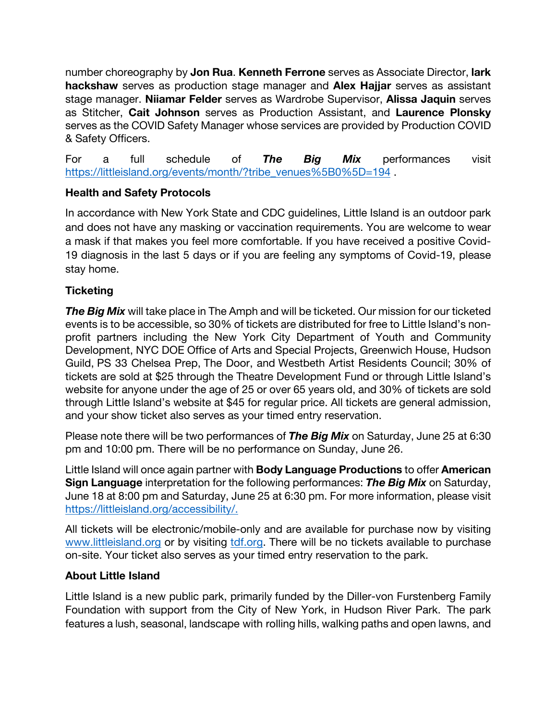number choreography by **Jon Rua**. **Kenneth Ferrone** serves as Associate Director, **lark hackshaw** serves as production stage manager and **Alex Hajjar** serves as assistant stage manager. **Niiamar Felder** serves as Wardrobe Supervisor, **Alissa Jaquin** serves as Stitcher, **Cait Johnson** serves as Production Assistant, and **Laurence Plonsky**  serves as the COVID Safety Manager whose services are provided by Production COVID & Safety Officers.

For a full schedule of *The Big Mix* performances visit https://littleisland.org/events/month/?tribe\_venues%5B0%5D=194.

## **Health and Safety Protocols**

In accordance with New York State and CDC guidelines, Little Island is an outdoor park and does not have any masking or vaccination requirements. You are welcome to wear a mask if that makes you feel more comfortable. If you have received a positive Covid-19 diagnosis in the last 5 days or if you are feeling any symptoms of Covid-19, please stay home.

## **Ticketing**

**The Big Mix** will take place in The Amph and will be ticketed. Our mission for our ticketed events is to be accessible, so 30% of tickets are distributed for free to Little Island's nonprofit partners including the New York City Department of Youth and Community Development, NYC DOE Office of Arts and Special Projects, Greenwich House, Hudson Guild, PS 33 Chelsea Prep, The Door, and Westbeth Artist Residents Council; 30% of tickets are sold at \$25 through the Theatre Development Fund or through Little Island's website for anyone under the age of 25 or over 65 years old, and 30% of tickets are sold through Little Island's website at \$45 for regular price. All tickets are general admission, and your show ticket also serves as your timed entry reservation.

Please note there will be two performances of *The Big Mix* on Saturday, June 25 at 6:30 pm and 10:00 pm. There will be no performance on Sunday, June 26.

Little Island will once again partner with **Body Language Productions** to offer **American Sign Language** interpretation for the following performances: *The Big Mix* on Saturday, June 18 at 8:00 pm and Saturday, June 25 at 6:30 pm. For more information, please visit https://littleisland.org/accessibility/.

All tickets will be electronic/mobile-only and are available for purchase now by visiting www.littleisland.org or by visiting tdf.org. There will be no tickets available to purchase on-site. Your ticket also serves as your timed entry reservation to the park.

#### **About Little Island**

Little Island is a new public park, primarily funded by the Diller-von Furstenberg Family Foundation with support from the City of New York, in Hudson River Park. The park features a lush, seasonal, landscape with rolling hills, walking paths and open lawns, and